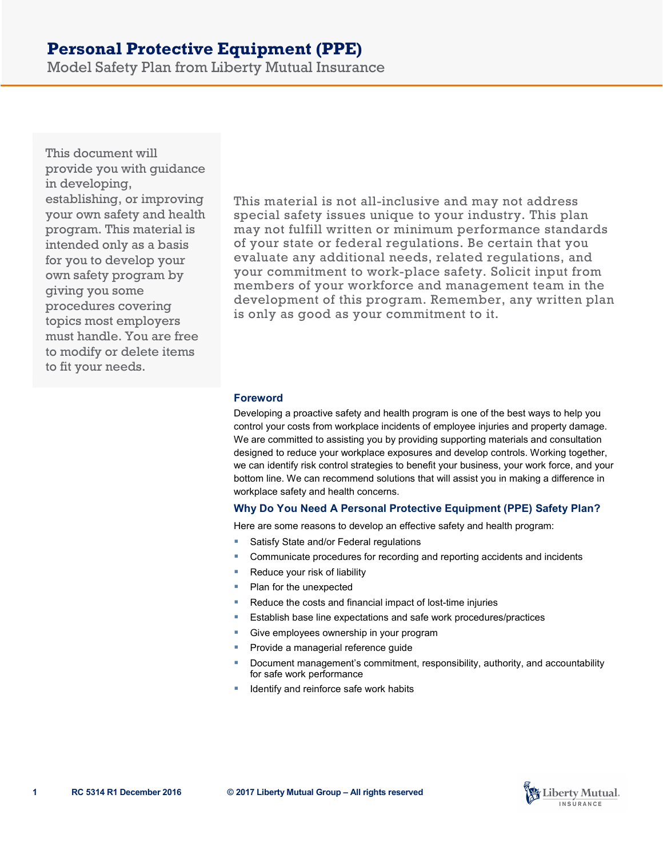# Personal Protective Equipment (PPE)

Model Safety Plan from Liberty Mutual Insurance

This document will provide you with guidance in developing, establishing, or improving your own safety and health program. This material is intended only as a basis for you to develop your own safety program by giving you some procedures covering topics most employers must handle. You are free to modify or delete items to fit your needs.

This material is not all-inclusive and may not address special safety issues unique to your industry. This plan may not fulfill written or minimum performance standards of your state or federal regulations. Be certain that you evaluate any additional needs, related regulations, and your commitment to work-place safety. Solicit input from members of your workforce and management team in the development of this program. Remember, any written plan is only as good as your commitment to it.

## Foreword

Developing a proactive safety and health program is one of the best ways to help you control your costs from workplace incidents of employee injuries and property damage. We are committed to assisting you by providing supporting materials and consultation designed to reduce your workplace exposures and develop controls. Working together, we can identify risk control strategies to benefit your business, your work force, and your bottom line. We can recommend solutions that will assist you in making a difference in workplace safety and health concerns.

### Why Do You Need A Personal Protective Equipment (PPE) Safety Plan?

Here are some reasons to develop an effective safety and health program:

- Satisfy State and/or Federal regulations
- Communicate procedures for recording and reporting accidents and incidents
- Reduce your risk of liability
- Plan for the unexpected
- Reduce the costs and financial impact of lost-time injuries
- Establish base line expectations and safe work procedures/practices
- Give employees ownership in your program
- Provide a managerial reference guide
- Document management's commitment, responsibility, authority, and accountability for safe work performance
- Identify and reinforce safe work habits

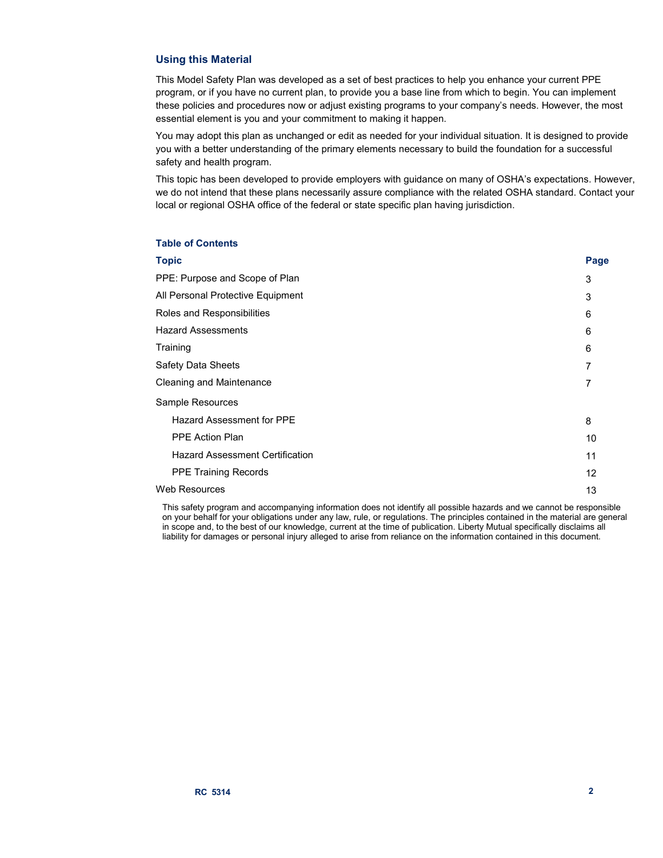## Using this Material

This Model Safety Plan was developed as a set of best practices to help you enhance your current PPE program, or if you have no current plan, to provide you a base line from which to begin. You can implement these policies and procedures now or adjust existing programs to your company's needs. However, the most essential element is you and your commitment to making it happen.

You may adopt this plan as unchanged or edit as needed for your individual situation. It is designed to provide you with a better understanding of the primary elements necessary to build the foundation for a successful safety and health program.

This topic has been developed to provide employers with guidance on many of OSHA's expectations. However, we do not intend that these plans necessarily assure compliance with the related OSHA standard. Contact your local or regional OSHA office of the federal or state specific plan having jurisdiction.

## Table of Contents

| <b>Topic</b>                           | Page |
|----------------------------------------|------|
| PPE: Purpose and Scope of Plan         | 3    |
| All Personal Protective Equipment      | 3    |
| Roles and Responsibilities             | 6    |
| <b>Hazard Assessments</b>              | 6    |
| Training                               | 6    |
| Safety Data Sheets                     | 7    |
| Cleaning and Maintenance               | 7    |
| Sample Resources                       |      |
| <b>Hazard Assessment for PPE</b>       | 8    |
| <b>PPE Action Plan</b>                 | 10   |
| <b>Hazard Assessment Certification</b> | 11   |
| <b>PPE Training Records</b>            | 12   |
| Web Resources                          | 13   |

This safety program and accompanying information does not identify all possible hazards and we cannot be responsible on your behalf for your obligations under any law, rule, or regulations. The principles contained in the material are general in scope and, to the best of our knowledge, current at the time of publication. Liberty Mutual specifically disclaims all liability for damages or personal injury alleged to arise from reliance on the information contained in this document.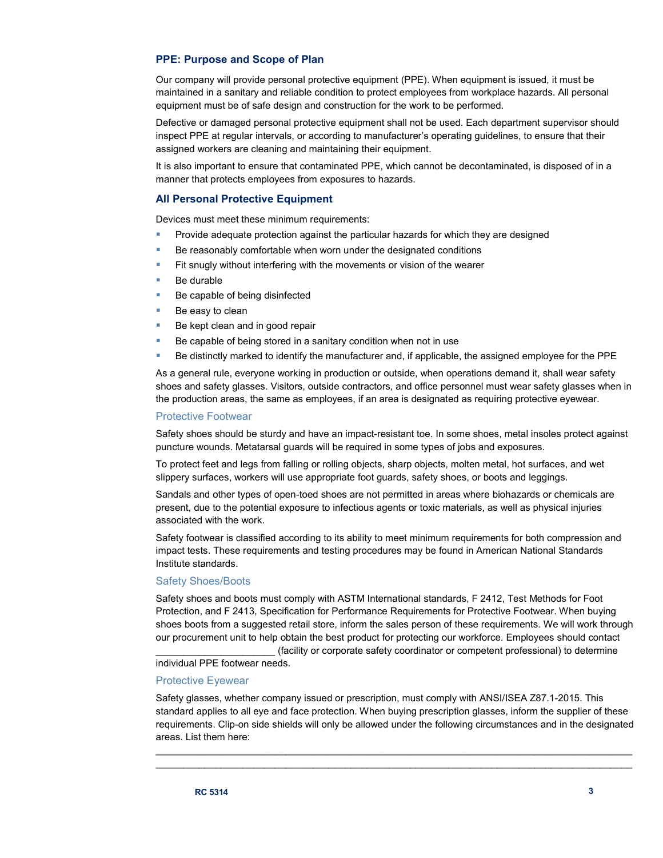## PPE: Purpose and Scope of Plan

Our company will provide personal protective equipment (PPE). When equipment is issued, it must be maintained in a sanitary and reliable condition to protect employees from workplace hazards. All personal equipment must be of safe design and construction for the work to be performed.

Defective or damaged personal protective equipment shall not be used. Each department supervisor should inspect PPE at regular intervals, or according to manufacturer's operating guidelines, to ensure that their assigned workers are cleaning and maintaining their equipment.

It is also important to ensure that contaminated PPE, which cannot be decontaminated, is disposed of in a manner that protects employees from exposures to hazards.

## All Personal Protective Equipment

Devices must meet these minimum requirements:

- Provide adequate protection against the particular hazards for which they are designed
- Be reasonably comfortable when worn under the designated conditions
- **Fit snugly without interfering with the movements or vision of the wearer**
- **Be durable**
- Be capable of being disinfected
- Be easy to clean
- Be kept clean and in good repair
- Be capable of being stored in a sanitary condition when not in use
- **Be distinctly marked to identify the manufacturer and, if applicable, the assigned employee for the PPE**

As a general rule, everyone working in production or outside, when operations demand it, shall wear safety shoes and safety glasses. Visitors, outside contractors, and office personnel must wear safety glasses when in the production areas, the same as employees, if an area is designated as requiring protective eyewear.

#### Protective Footwear

Safety shoes should be sturdy and have an impact-resistant toe. In some shoes, metal insoles protect against puncture wounds. Metatarsal guards will be required in some types of jobs and exposures.

To protect feet and legs from falling or rolling objects, sharp objects, molten metal, hot surfaces, and wet slippery surfaces, workers will use appropriate foot guards, safety shoes, or boots and leggings.

Sandals and other types of open-toed shoes are not permitted in areas where biohazards or chemicals are present, due to the potential exposure to infectious agents or toxic materials, as well as physical injuries associated with the work.

Safety footwear is classified according to its ability to meet minimum requirements for both compression and impact tests. These requirements and testing procedures may be found in American National Standards Institute standards.

### Safety Shoes/Boots

Safety shoes and boots must comply with ASTM International standards, F 2412, Test Methods for Foot Protection, and F 2413, Specification for Performance Requirements for Protective Footwear. When buying shoes boots from a suggested retail store, inform the sales person of these requirements. We will work through our procurement unit to help obtain the best product for protecting our workforce. Employees should contact

\_\_\_\_\_\_\_\_\_\_\_\_\_\_\_\_\_\_\_\_\_\_ (facility or corporate safety coordinator or competent professional) to determine individual PPE footwear needs.

## Protective Eyewear

Safety glasses, whether company issued or prescription, must comply with ANSI/ISEA Z87.1-2015. This standard applies to all eye and face protection. When buying prescription glasses, inform the supplier of these requirements. Clip-on side shields will only be allowed under the following circumstances and in the designated areas. List them here:

 $\mathcal{L}_\mathcal{L} = \{ \mathcal{L}_\mathcal{L} = \{ \mathcal{L}_\mathcal{L} = \{ \mathcal{L}_\mathcal{L} = \{ \mathcal{L}_\mathcal{L} = \{ \mathcal{L}_\mathcal{L} = \{ \mathcal{L}_\mathcal{L} = \{ \mathcal{L}_\mathcal{L} = \{ \mathcal{L}_\mathcal{L} = \{ \mathcal{L}_\mathcal{L} = \{ \mathcal{L}_\mathcal{L} = \{ \mathcal{L}_\mathcal{L} = \{ \mathcal{L}_\mathcal{L} = \{ \mathcal{L}_\mathcal{L} = \{ \mathcal{L}_\mathcal{$  $\mathcal{L}_\mathcal{L} = \{ \mathcal{L}_\mathcal{L} = \{ \mathcal{L}_\mathcal{L} = \{ \mathcal{L}_\mathcal{L} = \{ \mathcal{L}_\mathcal{L} = \{ \mathcal{L}_\mathcal{L} = \{ \mathcal{L}_\mathcal{L} = \{ \mathcal{L}_\mathcal{L} = \{ \mathcal{L}_\mathcal{L} = \{ \mathcal{L}_\mathcal{L} = \{ \mathcal{L}_\mathcal{L} = \{ \mathcal{L}_\mathcal{L} = \{ \mathcal{L}_\mathcal{L} = \{ \mathcal{L}_\mathcal{L} = \{ \mathcal{L}_\mathcal{$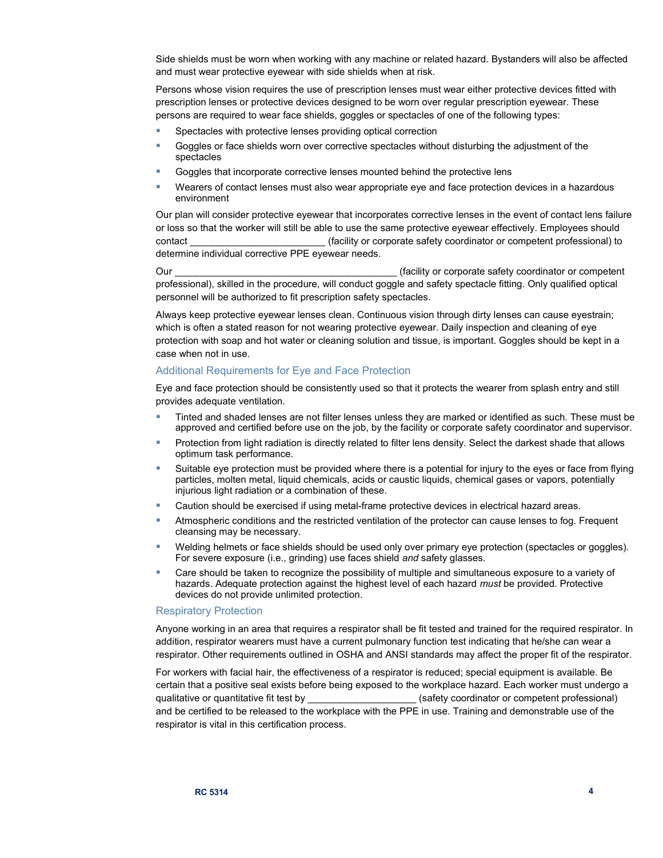Side shields must be worn when working with any machine or related hazard. Bystanders will also be affected and must wear protective eyewear with side shields when at risk.

Persons whose vision requires the use of prescription lenses must wear either protective devices fitted with prescription lenses or protective devices designed to be worn over regular prescription eyewear. These persons are required to wear face shields, goggles or spectacles of one of the following types:

- Spectacles with protective lenses providing optical correction
- Goggles or face shields worn over corrective spectacles without disturbing the adjustment of the spectacles
- Goggles that incorporate corrective lenses mounted behind the protective lens
- Wearers of contact lenses must also wear appropriate eye and face protection devices in a hazardous environment

Our plan will consider protective eyewear that incorporates corrective lenses in the event of contact lens failure or loss so that the worker will still be able to use the same protective eyewear effectively. Employees should contact \_\_\_\_\_\_\_\_\_\_\_\_\_\_\_\_\_\_\_\_\_\_\_\_\_ (facility or corporate safety coordinator or competent professional) to determine individual corrective PPE eyewear needs.

Our example the component of the component of the component (facility or corporate safety coordinator or competent professional), skilled in the procedure, will conduct goggle and safety spectacle fitting. Only qualified optical personnel will be authorized to fit prescription safety spectacles.

Always keep protective eyewear lenses clean. Continuous vision through dirty lenses can cause eyestrain; which is often a stated reason for not wearing protective eyewear. Daily inspection and cleaning of eye protection with soap and hot water or cleaning solution and tissue, is important. Goggles should be kept in a case when not in use.

#### Additional Requirements for Eye and Face Protection

Eye and face protection should be consistently used so that it protects the wearer from splash entry and still provides adequate ventilation.

- **Tinted and shaded lenses are not filter lenses unless they are marked or identified as such. These must be** approved and certified before use on the job, by the facility or corporate safety coordinator and supervisor.
- Protection from light radiation is directly related to filter lens density. Select the darkest shade that allows optimum task performance.
- Suitable eye protection must be provided where there is a potential for injury to the eyes or face from flying particles, molten metal, liquid chemicals, acids or caustic liquids, chemical gases or vapors, potentially injurious light radiation or a combination of these.
- **EXEC** Caution should be exercised if using metal-frame protective devices in electrical hazard areas.
- Atmospheric conditions and the restricted ventilation of the protector can cause lenses to fog. Frequent cleansing may be necessary.
- Welding helmets or face shields should be used only over primary eye protection (spectacles or goggles). For severe exposure (i.e., grinding) use faces shield and safety glasses.
- Care should be taken to recognize the possibility of multiple and simultaneous exposure to a variety of hazards. Adequate protection against the highest level of each hazard must be provided. Protective devices do not provide unlimited protection.

#### Respiratory Protection

Anyone working in an area that requires a respirator shall be fit tested and trained for the required respirator. In addition, respirator wearers must have a current pulmonary function test indicating that he/she can wear a respirator. Other requirements outlined in OSHA and ANSI standards may affect the proper fit of the respirator.

For workers with facial hair, the effectiveness of a respirator is reduced; special equipment is available. Be certain that a positive seal exists before being exposed to the workplace hazard. Each worker must undergo a qualitative or quantitative fit test by  $\qquad \qquad$  (safety coordinator or competent professional) and be certified to be released to the workplace with the PPE in use. Training and demonstrable use of the respirator is vital in this certification process.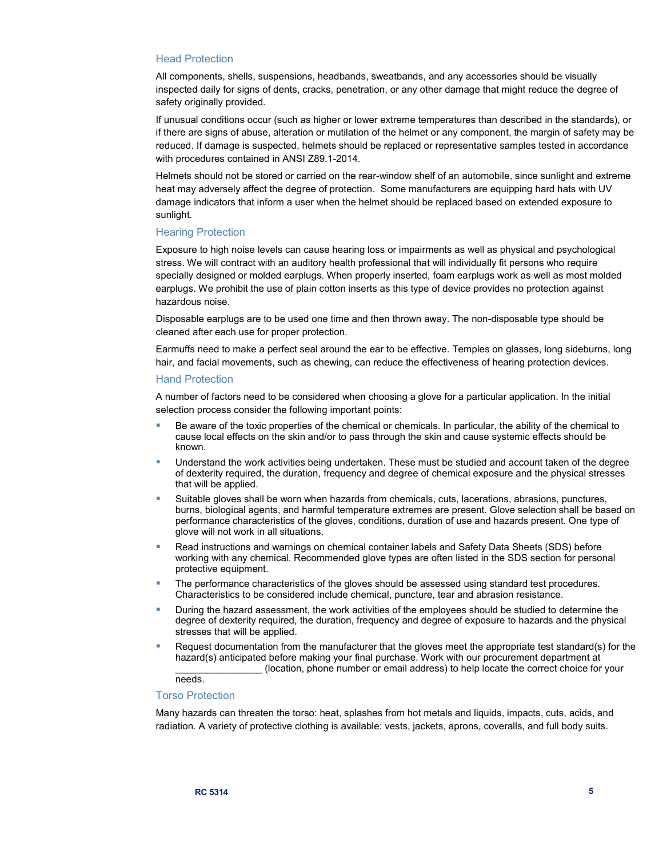### Head Protection

All components, shells, suspensions, headbands, sweatbands, and any accessories should be visually inspected daily for signs of dents, cracks, penetration, or any other damage that might reduce the degree of safety originally provided.

If unusual conditions occur (such as higher or lower extreme temperatures than described in the standards), or if there are signs of abuse, alteration or mutilation of the helmet or any component, the margin of safety may be reduced. If damage is suspected, helmets should be replaced or representative samples tested in accordance with procedures contained in ANSI Z89.1-2014.

Helmets should not be stored or carried on the rear-window shelf of an automobile, since sunlight and extreme heat may adversely affect the degree of protection. Some manufacturers are equipping hard hats with UV damage indicators that inform a user when the helmet should be replaced based on extended exposure to sunlight.

### Hearing Protection

Exposure to high noise levels can cause hearing loss or impairments as well as physical and psychological stress. We will contract with an auditory health professional that will individually fit persons who require specially designed or molded earplugs. When properly inserted, foam earplugs work as well as most molded earplugs. We prohibit the use of plain cotton inserts as this type of device provides no protection against hazardous noise.

Disposable earplugs are to be used one time and then thrown away. The non-disposable type should be cleaned after each use for proper protection.

Earmuffs need to make a perfect seal around the ear to be effective. Temples on glasses, long sideburns, long hair, and facial movements, such as chewing, can reduce the effectiveness of hearing protection devices.

#### Hand Protection

A number of factors need to be considered when choosing a glove for a particular application. In the initial selection process consider the following important points:

- Be aware of the toxic properties of the chemical or chemicals. In particular, the ability of the chemical to cause local effects on the skin and/or to pass through the skin and cause systemic effects should be known.
- Understand the work activities being undertaken. These must be studied and account taken of the degree of dexterity required, the duration, frequency and degree of chemical exposure and the physical stresses that will be applied.
- Suitable gloves shall be worn when hazards from chemicals, cuts, lacerations, abrasions, punctures, burns, biological agents, and harmful temperature extremes are present. Glove selection shall be based on performance characteristics of the gloves, conditions, duration of use and hazards present. One type of glove will not work in all situations.
- Read instructions and warnings on chemical container labels and Safety Data Sheets (SDS) before working with any chemical. Recommended glove types are often listed in the SDS section for personal protective equipment.
- The performance characteristics of the gloves should be assessed using standard test procedures. Characteristics to be considered include chemical, puncture, tear and abrasion resistance.
- During the hazard assessment, the work activities of the employees should be studied to determine the degree of dexterity required, the duration, frequency and degree of exposure to hazards and the physical stresses that will be applied.
- Request documentation from the manufacturer that the gloves meet the appropriate test standard(s) for the hazard(s) anticipated before making your final purchase. Work with our procurement department at \_\_\_\_\_\_\_\_\_\_\_\_\_\_\_\_ (location, phone number or email address) to help locate the correct choice for your needs.

## Torso Protection

Many hazards can threaten the torso: heat, splashes from hot metals and liquids, impacts, cuts, acids, and radiation. A variety of protective clothing is available: vests, jackets, aprons, coveralls, and full body suits.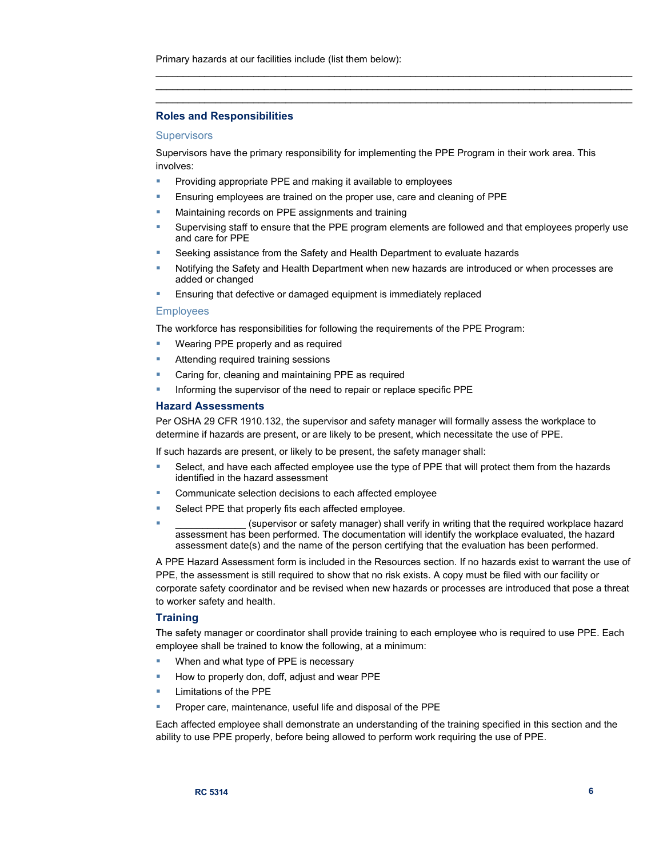#### Roles and Responsibilities

#### **Supervisors**

Supervisors have the primary responsibility for implementing the PPE Program in their work area. This involves:

- **Providing appropriate PPE and making it available to employees**
- **Ensuring employees are trained on the proper use, care and cleaning of PPE**
- Maintaining records on PPE assignments and training
- Supervising staff to ensure that the PPE program elements are followed and that employees properly use and care for PPE

 $\mathcal{L}_\mathcal{L} = \{ \mathcal{L}_\mathcal{L} = \{ \mathcal{L}_\mathcal{L} = \{ \mathcal{L}_\mathcal{L} = \{ \mathcal{L}_\mathcal{L} = \{ \mathcal{L}_\mathcal{L} = \{ \mathcal{L}_\mathcal{L} = \{ \mathcal{L}_\mathcal{L} = \{ \mathcal{L}_\mathcal{L} = \{ \mathcal{L}_\mathcal{L} = \{ \mathcal{L}_\mathcal{L} = \{ \mathcal{L}_\mathcal{L} = \{ \mathcal{L}_\mathcal{L} = \{ \mathcal{L}_\mathcal{L} = \{ \mathcal{L}_\mathcal{$  $\mathcal{L}_\mathcal{L} = \{ \mathcal{L}_\mathcal{L} = \{ \mathcal{L}_\mathcal{L} = \{ \mathcal{L}_\mathcal{L} = \{ \mathcal{L}_\mathcal{L} = \{ \mathcal{L}_\mathcal{L} = \{ \mathcal{L}_\mathcal{L} = \{ \mathcal{L}_\mathcal{L} = \{ \mathcal{L}_\mathcal{L} = \{ \mathcal{L}_\mathcal{L} = \{ \mathcal{L}_\mathcal{L} = \{ \mathcal{L}_\mathcal{L} = \{ \mathcal{L}_\mathcal{L} = \{ \mathcal{L}_\mathcal{L} = \{ \mathcal{L}_\mathcal{$  $\mathcal{L}_\mathcal{L} = \{ \mathcal{L}_\mathcal{L} = \{ \mathcal{L}_\mathcal{L} = \{ \mathcal{L}_\mathcal{L} = \{ \mathcal{L}_\mathcal{L} = \{ \mathcal{L}_\mathcal{L} = \{ \mathcal{L}_\mathcal{L} = \{ \mathcal{L}_\mathcal{L} = \{ \mathcal{L}_\mathcal{L} = \{ \mathcal{L}_\mathcal{L} = \{ \mathcal{L}_\mathcal{L} = \{ \mathcal{L}_\mathcal{L} = \{ \mathcal{L}_\mathcal{L} = \{ \mathcal{L}_\mathcal{L} = \{ \mathcal{L}_\mathcal{$ 

- Seeking assistance from the Safety and Health Department to evaluate hazards
- Notifying the Safety and Health Department when new hazards are introduced or when processes are added or changed
- Ensuring that defective or damaged equipment is immediately replaced

#### **Employees**

The workforce has responsibilities for following the requirements of the PPE Program:

- Wearing PPE properly and as required
- Attending required training sessions
- **Caring for, cleaning and maintaining PPE as required**
- Informing the supervisor of the need to repair or replace specific PPE

#### Hazard Assessments

Per OSHA 29 CFR 1910.132, the supervisor and safety manager will formally assess the workplace to determine if hazards are present, or are likely to be present, which necessitate the use of PPE.

If such hazards are present, or likely to be present, the safety manager shall:

- Select, and have each affected employee use the type of PPE that will protect them from the hazards identified in the hazard assessment
- Communicate selection decisions to each affected employee
- **Select PPE that properly fits each affected employee.**
- (supervisor or safety manager) shall verify in writing that the required workplace hazard assessment has been performed. The documentation will identify the workplace evaluated, the hazard assessment date(s) and the name of the person certifying that the evaluation has been performed.

A PPE Hazard Assessment form is included in the Resources section. If no hazards exist to warrant the use of PPE, the assessment is still required to show that no risk exists. A copy must be filed with our facility or corporate safety coordinator and be revised when new hazards or processes are introduced that pose a threat to worker safety and health.

#### **Training**

The safety manager or coordinator shall provide training to each employee who is required to use PPE. Each employee shall be trained to know the following, at a minimum:

- **When and what type of PPE is necessary**
- How to properly don, doff, adjust and wear PPE
- Limitations of the PPE
- Proper care, maintenance, useful life and disposal of the PPE

Each affected employee shall demonstrate an understanding of the training specified in this section and the ability to use PPE properly, before being allowed to perform work requiring the use of PPE.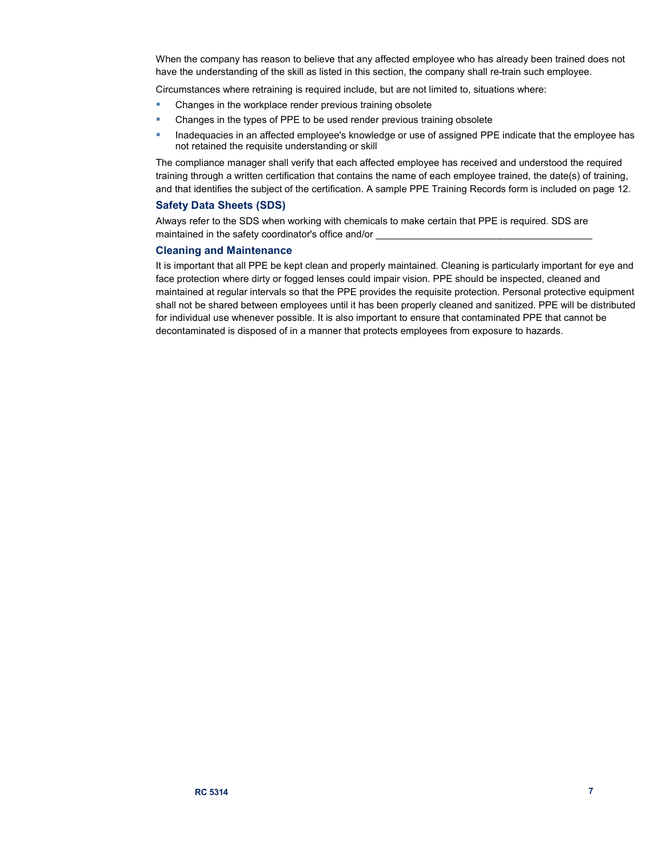When the company has reason to believe that any affected employee who has already been trained does not have the understanding of the skill as listed in this section, the company shall re-train such employee.

Circumstances where retraining is required include, but are not limited to, situations where:

- Changes in the workplace render previous training obsolete
- Changes in the types of PPE to be used render previous training obsolete
- **Inadequacies in an affected employee's knowledge or use of assigned PPE indicate that the employee has** not retained the requisite understanding or skill

The compliance manager shall verify that each affected employee has received and understood the required training through a written certification that contains the name of each employee trained, the date(s) of training, and that identifies the subject of the certification. A sample PPE Training Records form is included on page 12.

## Safety Data Sheets (SDS)

Always refer to the SDS when working with chemicals to make certain that PPE is required. SDS are maintained in the safety coordinator's office and/or

## Cleaning and Maintenance

It is important that all PPE be kept clean and properly maintained. Cleaning is particularly important for eye and face protection where dirty or fogged lenses could impair vision. PPE should be inspected, cleaned and maintained at regular intervals so that the PPE provides the requisite protection. Personal protective equipment shall not be shared between employees until it has been properly cleaned and sanitized. PPE will be distributed for individual use whenever possible. It is also important to ensure that contaminated PPE that cannot be decontaminated is disposed of in a manner that protects employees from exposure to hazards.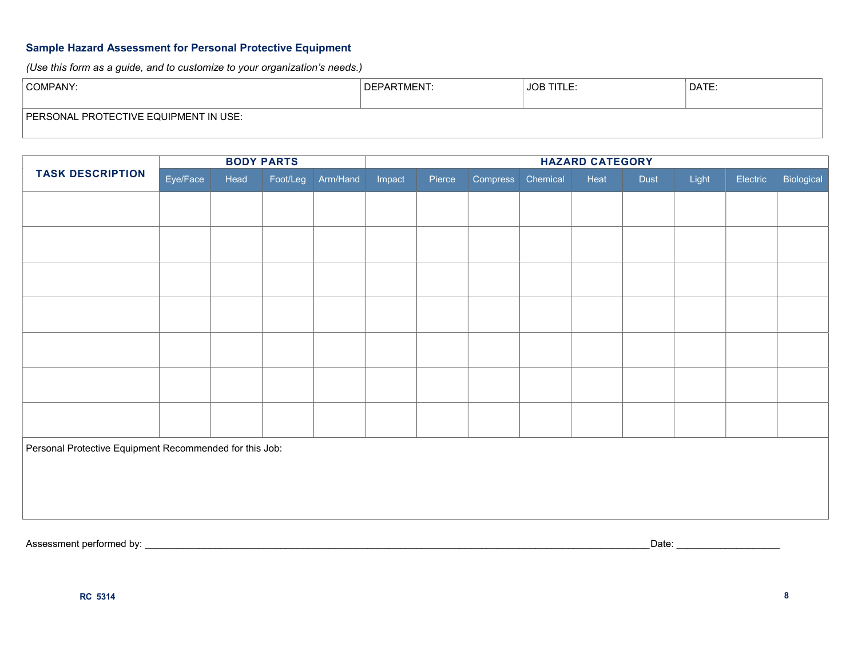## Sample Hazard Assessment for Personal Protective Equipment

(Use this form as a guide, and to customize to your organization's needs.)

| COMPANY:                              | DEPARTMENT: | <b>JOB TITLE:</b> | DATE: |
|---------------------------------------|-------------|-------------------|-------|
| PERSONAL PROTECTIVE EQUIPMENT IN USE: |             |                   |       |

|                                                         |          | <b>BODY PARTS</b> |                     | <b>HAZARD CATEGORY</b> |        |          |          |      |      |       |          |            |
|---------------------------------------------------------|----------|-------------------|---------------------|------------------------|--------|----------|----------|------|------|-------|----------|------------|
| <b>TASK DESCRIPTION</b>                                 | Eye/Face | Head              | Foot/Leg   Arm/Hand | Impact                 | Pierce | Compress | Chemical | Heat | Dust | Light | Electric | Biological |
|                                                         |          |                   |                     |                        |        |          |          |      |      |       |          |            |
|                                                         |          |                   |                     |                        |        |          |          |      |      |       |          |            |
|                                                         |          |                   |                     |                        |        |          |          |      |      |       |          |            |
|                                                         |          |                   |                     |                        |        |          |          |      |      |       |          |            |
|                                                         |          |                   |                     |                        |        |          |          |      |      |       |          |            |
|                                                         |          |                   |                     |                        |        |          |          |      |      |       |          |            |
|                                                         |          |                   |                     |                        |        |          |          |      |      |       |          |            |
|                                                         |          |                   |                     |                        |        |          |          |      |      |       |          |            |
|                                                         |          |                   |                     |                        |        |          |          |      |      |       |          |            |
|                                                         |          |                   |                     |                        |        |          |          |      |      |       |          |            |
|                                                         |          |                   |                     |                        |        |          |          |      |      |       |          |            |
| Personal Protective Equipment Recommended for this Job: |          |                   |                     |                        |        |          |          |      |      |       |          |            |
|                                                         |          |                   |                     |                        |        |          |          |      |      |       |          |            |
|                                                         |          |                   |                     |                        |        |          |          |      |      |       |          |            |
|                                                         |          |                   |                     |                        |        |          |          |      |      |       |          |            |

Assessment performed by: \_\_\_\_\_\_\_\_\_\_\_\_\_\_\_\_\_\_\_\_\_\_\_\_\_\_\_\_\_\_\_\_\_\_\_\_\_\_\_\_\_\_\_\_\_\_\_\_\_\_\_\_\_\_\_\_\_\_\_\_\_\_\_\_\_\_\_\_\_\_\_\_\_\_\_\_\_\_\_\_\_\_\_\_\_\_\_\_\_\_\_\_\_ Date: \_\_\_\_\_\_\_\_\_\_\_\_\_\_\_\_\_\_\_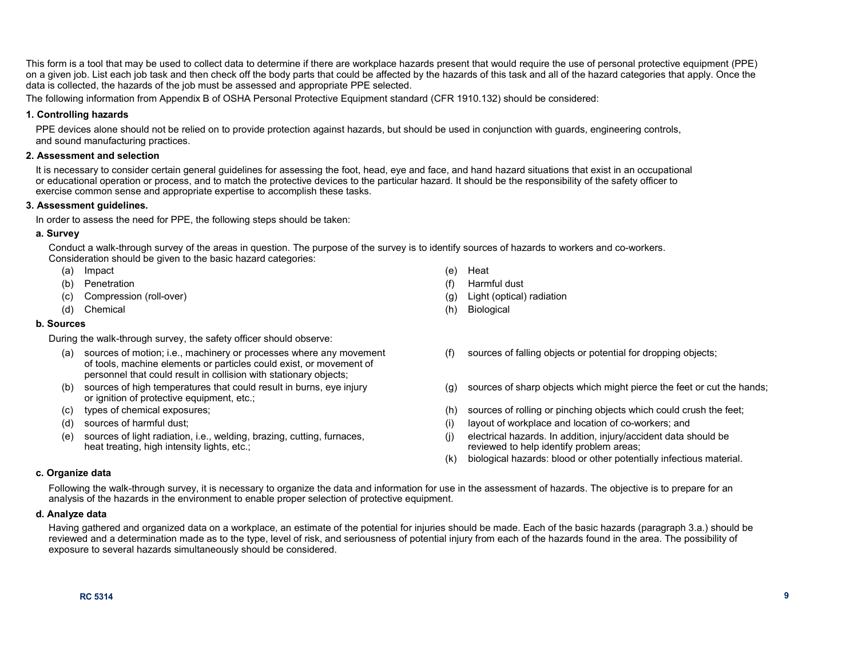This form is a tool that may be used to collect data to determine if there are workplace hazards present that would require the use of personal protective equipment (PPE) on a given job. List each job task and then check off the body parts that could be affected by the hazards of this task and all of the hazard categories that apply. Once the data is collected, the hazards of the job must be assessed and appropriate PPE selected.

The following information from Appendix B of OSHA Personal Protective Equipment standard (CFR 1910.132) should be considered:

#### 1. Controlling hazards

PPE devices alone should not be relied on to provide protection against hazards, but should be used in conjunction with guards, engineering controls, and sound manufacturing practices.

#### 2. Assessment and selection

It is necessary to consider certain general guidelines for assessing the foot, head, eye and face, and hand hazard situations that exist in an occupational or educational operation or process, and to match the protective devices to the particular hazard. It should be the responsibility of the safety officer to exercise common sense and appropriate expertise to accomplish these tasks.

#### 3. Assessment guidelines.

In order to assess the need for PPE, the following steps should be taken:

#### a. Survey

Conduct a walk-through survey of the areas in question. The purpose of the survey is to identify sources of hazards to workers and co-workers. Consideration should be given to the basic hazard categories:

- (a) Impact (e) Heat
- 
- (c) Compression (roll-over) (g) Light (optical) radiation
- (d) Chemical (h) Biological

### b. Sources

During the walk-through survey, the safety officer should observe:

- (a) sources of motion; i.e., machinery or processes where any movement of tools, machine elements or particles could exist, or movement of personnel that could result in collision with stationary objects;
- (b) sources of high temperatures that could result in burns, eye injury or ignition of protective equipment, etc.;
- 
- 
- (e) sources of light radiation, i.e., welding, brazing, cutting, furnaces, heat treating, high intensity lights, etc.;
- 
- (b) Penetration (f) Harmful dust (f) Harmful dust
	-
	-
	- sources of falling objects or potential for dropping objects;
	- (g) sources of sharp objects which might pierce the feet or cut the hands;
- (c) types of chemical exposures; (h) sources of rolling or pinching objects which could crush the feet;
- (d) sources of harmful dust; (i) layout of workplace and location of co-workers; and
	- (j) electrical hazards. In addition, injury/accident data should be reviewed to help identify problem areas;
	- (k) biological hazards: blood or other potentially infectious material.

### c. Organize data

Following the walk-through survey, it is necessary to organize the data and information for use in the assessment of hazards. The objective is to prepare for an analysis of the hazards in the environment to enable proper selection of protective equipment.

### d. Analyze data

Having gathered and organized data on a workplace, an estimate of the potential for injuries should be made. Each of the basic hazards (paragraph 3.a.) should be reviewed and a determination made as to the type, level of risk, and seriousness of potential injury from each of the hazards found in the area. The possibility of exposure to several hazards simultaneously should be considered.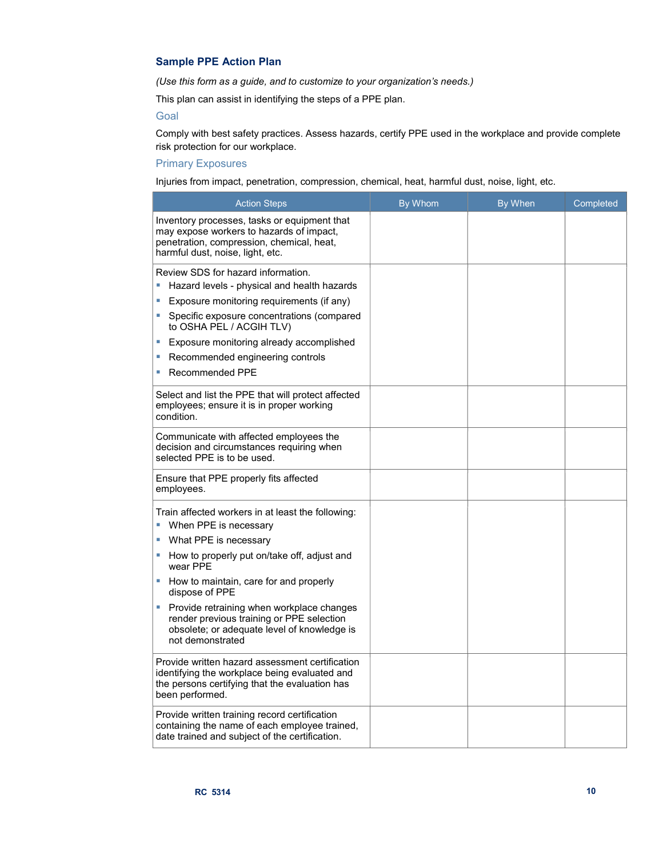## Sample PPE Action Plan

(Use this form as a guide, and to customize to your organization's needs.)

This plan can assist in identifying the steps of a PPE plan.

Goal

Comply with best safety practices. Assess hazards, certify PPE used in the workplace and provide complete risk protection for our workplace.

## Primary Exposures

Injuries from impact, penetration, compression, chemical, heat, harmful dust, noise, light, etc.

| <b>Action Steps</b>                                                                                                                                                       | By Whom | By When | Completed |
|---------------------------------------------------------------------------------------------------------------------------------------------------------------------------|---------|---------|-----------|
| Inventory processes, tasks or equipment that<br>may expose workers to hazards of impact,<br>penetration, compression, chemical, heat,<br>harmful dust, noise, light, etc. |         |         |           |
| Review SDS for hazard information.<br>Hazard levels - physical and health hazards<br>×,                                                                                   |         |         |           |
| Exposure monitoring requirements (if any)<br>×,                                                                                                                           |         |         |           |
| Specific exposure concentrations (compared<br>to OSHA PEL / ACGIH TLV)                                                                                                    |         |         |           |
| Exposure monitoring already accomplished<br>ш                                                                                                                             |         |         |           |
| Recommended engineering controls<br>×                                                                                                                                     |         |         |           |
| Recommended PPE<br>×                                                                                                                                                      |         |         |           |
| Select and list the PPE that will protect affected<br>employees; ensure it is in proper working<br>condition.                                                             |         |         |           |
| Communicate with affected employees the<br>decision and circumstances requiring when<br>selected PPF is to be used.                                                       |         |         |           |
| Ensure that PPE properly fits affected<br>employees.                                                                                                                      |         |         |           |
| Train affected workers in at least the following:<br>When PPE is necessary                                                                                                |         |         |           |
| What PPE is necessary<br>×                                                                                                                                                |         |         |           |
| How to properly put on/take off, adjust and<br>×<br>wear PPE                                                                                                              |         |         |           |
| How to maintain, care for and properly<br>$\blacksquare$<br>dispose of PPE                                                                                                |         |         |           |
| Provide retraining when workplace changes<br>ш<br>render previous training or PPE selection<br>obsolete; or adequate level of knowledge is<br>not demonstrated            |         |         |           |
| Provide written hazard assessment certification<br>identifying the workplace being evaluated and<br>the persons certifying that the evaluation has<br>been performed.     |         |         |           |
| Provide written training record certification<br>containing the name of each employee trained,<br>date trained and subject of the certification.                          |         |         |           |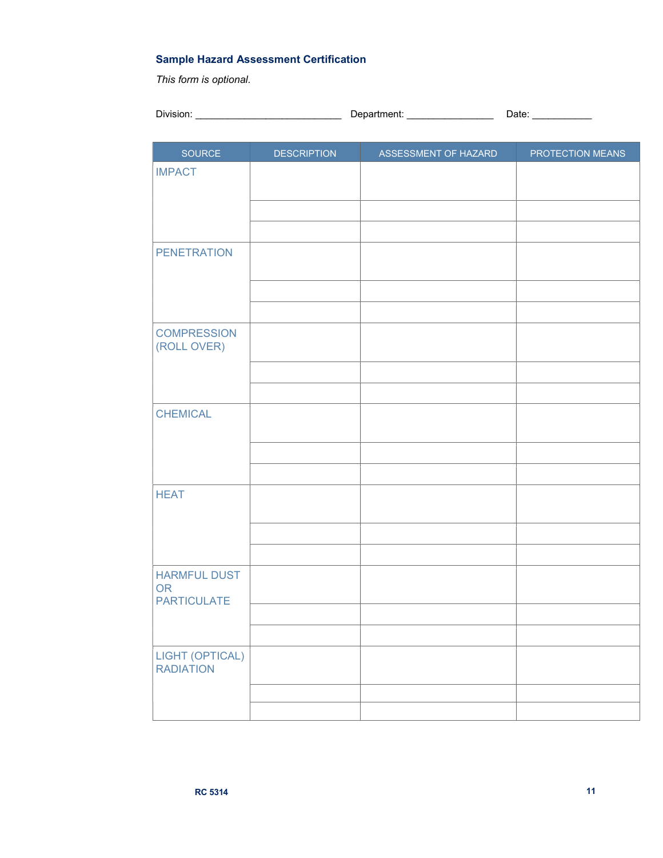## Sample Hazard Assessment Certification

This form is optional.

| ---<br>Division <sup>®</sup> | .1e <sub>r</sub><br>∵unenu.<br>ша |  |
|------------------------------|-----------------------------------|--|
|                              |                                   |  |

| SOURCE                              | <b>DESCRIPTION</b> | ASSESSMENT OF HAZARD | PROTECTION MEANS |
|-------------------------------------|--------------------|----------------------|------------------|
| <b>IMPACT</b>                       |                    |                      |                  |
|                                     |                    |                      |                  |
|                                     |                    |                      |                  |
|                                     |                    |                      |                  |
| <b>PENETRATION</b>                  |                    |                      |                  |
|                                     |                    |                      |                  |
|                                     |                    |                      |                  |
| <b>COMPRESSION</b><br>(ROLL OVER)   |                    |                      |                  |
|                                     |                    |                      |                  |
|                                     |                    |                      |                  |
| <b>CHEMICAL</b>                     |                    |                      |                  |
|                                     |                    |                      |                  |
|                                     |                    |                      |                  |
|                                     |                    |                      |                  |
| <b>HEAT</b>                         |                    |                      |                  |
|                                     |                    |                      |                  |
|                                     |                    |                      |                  |
| <b>HARMFUL DUST</b><br><b>OR</b>    |                    |                      |                  |
| <b>PARTICULATE</b>                  |                    |                      |                  |
|                                     |                    |                      |                  |
| LIGHT (OPTICAL)<br><b>RADIATION</b> |                    |                      |                  |
|                                     |                    |                      |                  |
|                                     |                    |                      |                  |
|                                     |                    |                      |                  |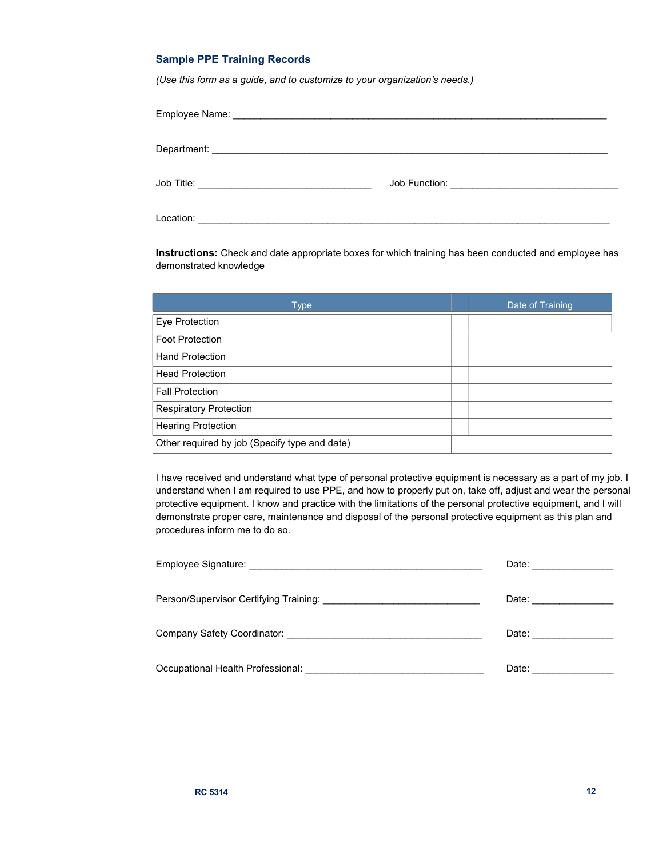## Sample PPE Training Records

(Use this form as a guide, and to customize to your organization's needs.)

|           | Job Function: ___________________________________ |  |
|-----------|---------------------------------------------------|--|
| Location: |                                                   |  |

Instructions: Check and date appropriate boxes for which training has been conducted and employee has demonstrated knowledge

| Type                                          | Date of Training |
|-----------------------------------------------|------------------|
| Eye Protection                                |                  |
| <b>Foot Protection</b>                        |                  |
| <b>Hand Protection</b>                        |                  |
| <b>Head Protection</b>                        |                  |
| <b>Fall Protection</b>                        |                  |
| <b>Respiratory Protection</b>                 |                  |
| <b>Hearing Protection</b>                     |                  |
| Other required by job (Specify type and date) |                  |

I have received and understand what type of personal protective equipment is necessary as a part of my job. I understand when I am required to use PPE, and how to properly put on, take off, adjust and wear the personal protective equipment. I know and practice with the limitations of the personal protective equipment, and I will demonstrate proper care, maintenance and disposal of the personal protective equipment as this plan and procedures inform me to do so.

|                                                                                                                                    | Date: _______________ |
|------------------------------------------------------------------------------------------------------------------------------------|-----------------------|
|                                                                                                                                    | Date: _______________ |
|                                                                                                                                    | Date: ____________    |
| Occupational Health Professional: ___<br>the control of the control of the control of the control of the control of the control of | Date:                 |